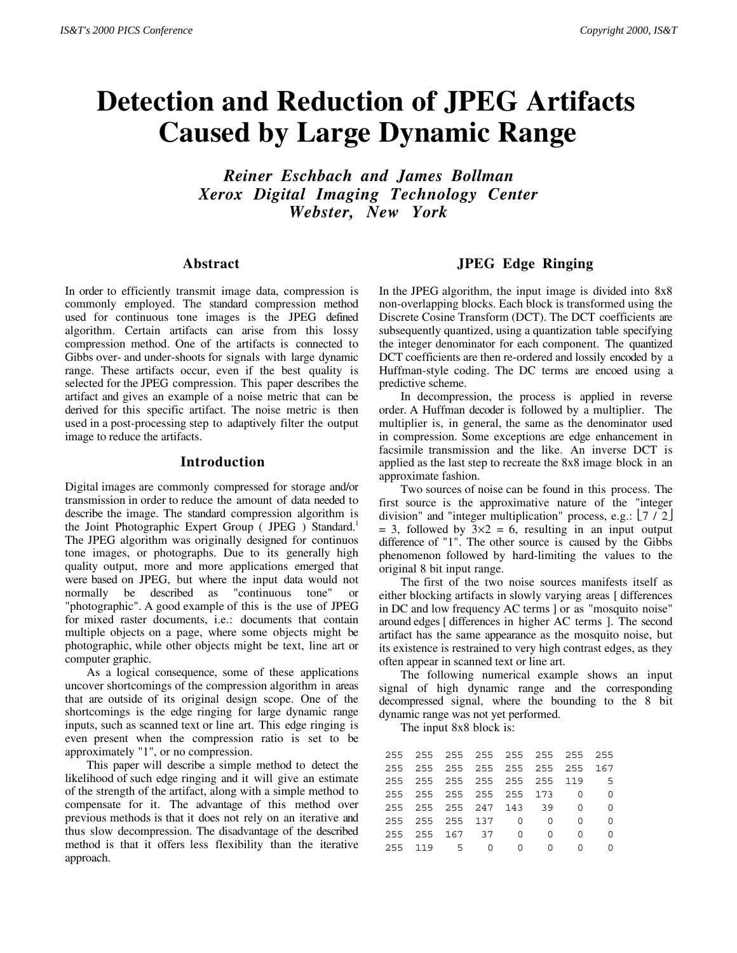# **Detection and Reduction of JPEG Artifacts Caused by Large Dynamic Range**

*Reiner Eschbach and James Bollman Xerox Digital Imaging Technology Center Webster, New York*

#### **Abstract**

In order to efficiently transmit image data, compression is commonly employed. The standard compression method used for continuous tone images is the JPEG defined algorithm. Certain artifacts can arise from this lossy compression method. One of the artifacts is connected to Gibbs over- and under-shoots for signals with large dynamic range. These artifacts occur, even if the best quality is selected for the JPEG compression. This paper describes the artifact and gives an example of a noise metric that can be derived for this specific artifact. The noise metric is then used in a post-processing step to adaptively filter the output image to reduce the artifacts.

#### **Introduction**

Digital images are commonly compressed for storage and/or transmission in order to reduce the amount of data needed to describe the image. The standard compression algorithm is the Joint Photographic Expert Group (JPEG) Standard.<sup>1</sup> The JPEG algorithm was originally designed for continuos tone images, or photographs. Due to its generally high quality output, more and more applications emerged that were based on JPEG, but where the input data would not normally be described as "continuous tone" or "photographic". A good example of this is the use of JPEG for mixed raster documents, i.e.: documents that contain multiple objects on a page, where some objects might be photographic, while other objects might be text, line art or computer graphic.

As a logical consequence, some of these applications uncover shortcomings of the compression algorithm in areas that are outside of its original design scope. One of the shortcomings is the edge ringing for large dynamic range inputs, such as scanned text or line art. This edge ringing is even present when the compression ratio is set to be approximately "1", or no compression.

This paper will describe a simple method to detect the likelihood of such edge ringing and it will give an estimate of the strength of the artifact, along with a simple method to compensate for it. The advantage of this method over previous methods is that it does not rely on an iterative and thus slow decompression. The disadvantage of the described method is that it offers less flexibility than the iterative approach.

#### **JPEG Edge Ringing**

In the JPEG algorithm, the input image is divided into 8x8 non-overlapping blocks. Each block is transformed using the Discrete Cosine Transform (DCT). The DCT coefficients are subsequently quantized, using a quantization table specifying the integer denominator for each component. The quantized DCT coefficients are then re-ordered and lossily encoded by a Huffman-style coding. The DC terms are encoed using a predictive scheme.

In decompression, the process is applied in reverse order. A Huffman decoder is followed by a multiplier. The multiplier is, in general, the same as the denominator used in compression. Some exceptions are edge enhancement in facsimile transmission and the like. An inverse DCT is applied as the last step to recreate the 8x8 image block in an approximate fashion.

Two sources of noise can be found in this process. The first source is the approximative nature of the "integer division" and "integer multiplication" process, e.g.:  $\lfloor 7 / 2 \rfloor$  $= 3$ , followed by  $3 \times 2 = 6$ , resulting in an input output difference of "1". The other source is caused by the Gibbs phenomenon followed by hard-limiting the values to the original 8 bit input range.

The first of the two noise sources manifests itself as either blocking artifacts in slowly varying areas [ differences in DC and low frequency AC terms ] or as "mosquito noise" around edges [ differences in higher AC terms ]. The second artifact has the same appearance as the mosquito noise, but its existence is restrained to very high contrast edges, as they often appear in scanned text or line art.

The following numerical example shows an input signal of high dynamic range and the corresponding decompressed signal, where the bounding to the 8 bit dynamic range was not yet performed.

The input 8x8 block is:

|  | 255 255 255 255 255 255 255 255 |          |              |              |                |
|--|---------------------------------|----------|--------------|--------------|----------------|
|  | 255 255 255 255 255 255 255 167 |          |              |              |                |
|  | 255 255 255 255 255 255 119 5   |          |              |              |                |
|  | 255 255 255 255 255 173 0       |          |              |              | $\overline{a}$ |
|  | 255 255 255 247 143 39          |          |              | $\bigcirc$   | ∩              |
|  | 255 255 255 137 0 0             |          |              | 0            |                |
|  | 255 255 167 37 0                |          | <sup>n</sup> | <sup>n</sup> | ∩              |
|  | 255 119 5 0                     | $\Omega$ | $\Omega$     | U            |                |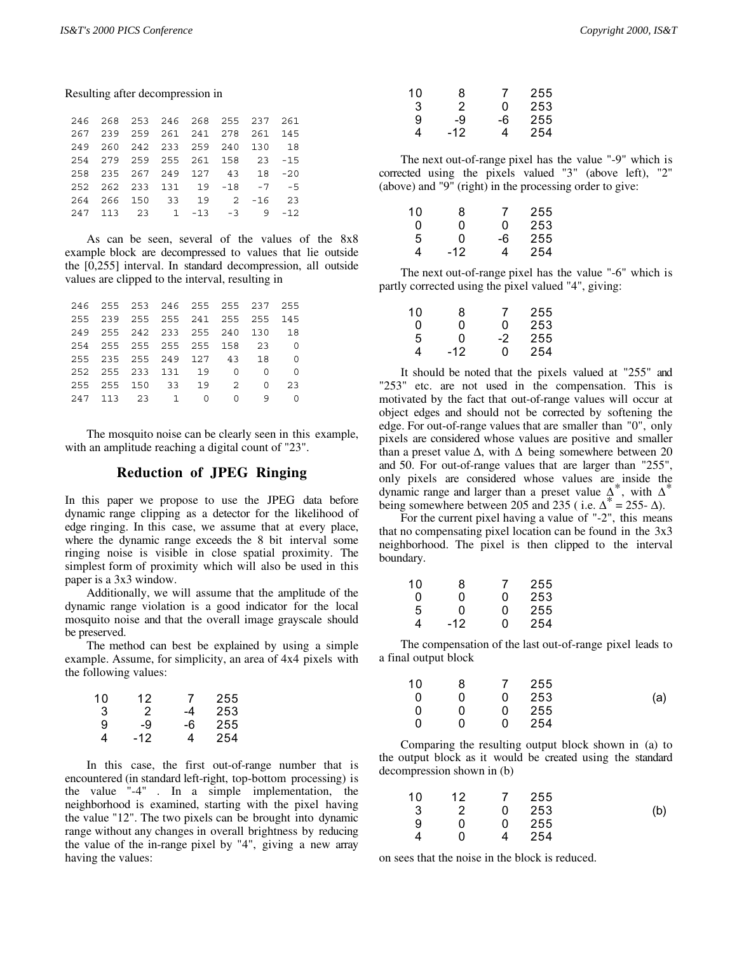|  |  | 246 268 253 246 268 255 237 261 |  |  |
|--|--|---------------------------------|--|--|
|  |  | 267 239 259 261 241 278 261 145 |  |  |
|  |  | 249 260 242 233 259 240 130 18  |  |  |
|  |  | 254 279 259 255 261 158 23 -15  |  |  |
|  |  | 258 235 267 249 127 43 18 -20   |  |  |
|  |  | 252 262 233 131 19 -18 -7 -5    |  |  |
|  |  | 264 266 150 33 19 2 -16 23      |  |  |
|  |  | 247 113 23 1 -13 -3 9 -12       |  |  |

As can be seen, several of the values of the 8x8 example block are decompressed to values that lie outside the [0,255] interval. In standard decompression, all outside values are clipped to the interval, resulting in

|  |  | 246 255 253 246 255 255 237 255 |  |    |
|--|--|---------------------------------|--|----|
|  |  | 255 239 255 255 241 255 255 145 |  |    |
|  |  | 249 255 242 233 255 240 130 18  |  |    |
|  |  | 254 255 255 255 255 158 23 0    |  |    |
|  |  | 255 235 255 249 127 43 18 0     |  |    |
|  |  | 252 255 233 131 19 0 0 0        |  |    |
|  |  | 255 255 150 33 19 2 0           |  | 23 |
|  |  | 247 113 23 1 0 0 9 0            |  |    |

The mosquito noise can be clearly seen in this example, with an amplitude reaching a digital count of "23".

#### **Reduction of JPEG Ringing**

In this paper we propose to use the JPEG data before dynamic range clipping as a detector for the likelihood of edge ringing. In this case, we assume that at every place, where the dynamic range exceeds the 8 bit interval some ringing noise is visible in close spatial proximity. The simplest form of proximity which will also be used in this paper is a 3x3 window.

Additionally, we will assume that the amplitude of the dynamic range violation is a good indicator for the local mosquito noise and that the overall image grayscale should be preserved.

The method can best be explained by using a simple example. Assume, for simplicity, an area of 4x4 pixels with the following values:

| 10 | 12  | 7  | 255 |
|----|-----|----|-----|
| 3  | 2   | -4 | 253 |
| 9  | -9  | -6 | 255 |
| 4  | -12 | 4  | 254 |

In this case, the first out-of-range number that is encountered (in standard left-right, top-bottom processing) is the value "-4" . In a simple implementation, the neighborhood is examined, starting with the pixel having the value "12". The two pixels can be brought into dynamic range without any changes in overall brightness by reducing the value of the in-range pixel by "4", giving a new array having the values:

| 10 | 8   | 7  | 255 |
|----|-----|----|-----|
| 3  | 2   | ი  | 253 |
| 9  | -9  | -6 | 255 |
| 4  | -12 | 4  | 254 |

The next out-of-range pixel has the value "-9" which is corrected using the pixels valued "3" (above left), "2" (above) and "9" (right) in the processing order to give:

| 10 | 8   | 7  | 255 |
|----|-----|----|-----|
| 0  | O   | ŋ  | 253 |
| 5  | ŋ   | -6 | 255 |
| 4  | -12 | 4  | 254 |

The next out-of-range pixel has the value "-6" which is partly corrected using the pixel valued "4", giving:

| 8     | 7  | 255 |
|-------|----|-----|
| n     | ŋ  | 253 |
| ŋ     | -2 | 255 |
| $-12$ | ი  | 254 |
|       |    |     |

It should be noted that the pixels valued at "255" and "253" etc. are not used in the compensation. This is motivated by the fact that out-of-range values will occur at object edges and should not be corrected by softening the edge. For out-of-range values that are smaller than "0", only pixels are considered whose values are positive and smaller than a preset value  $\Delta$ , with  $\Delta$  being somewhere between 20 and 50. For out-of-range values that are larger than "255", only pixels are considered whose values are inside the dynamic range and larger than a preset value  $\Delta^*$ , with  $\Delta^*$ being somewhere between 205 and 235 ( i.e.  $\Delta^* = 255 - \Delta$ ).

For the current pixel having a value of "-2", this means that no compensating pixel location can be found in the 3x3 neighborhood. The pixel is then clipped to the interval boundary.

| 10 | 8   | 7 | 255 |
|----|-----|---|-----|
| U  | U   | U | 253 |
| 5  | U   | U | 255 |
| 4  | -12 | U | 254 |

The compensation of the last out-of-range pixel leads to a final output block

| 10 | 8 | $\overline{7}$ | 255 |     |
|----|---|----------------|-----|-----|
| 0  | 0 | 0              | 253 | (a) |
| 0  | U | 0              | 255 |     |
| 0  | n | 0              | 254 |     |

Comparing the resulting output block shown in (a) to the output block as it would be created using the standard decompression shown in (b)

| 10 | 12 | $\mathcal I$ | 255 |     |
|----|----|--------------|-----|-----|
| -3 | 2  | 0            | 253 | (b) |
| 9  | n  | 0            | 255 |     |
|    | n  |              | 254 |     |

on sees that the noise in the block is reduced.